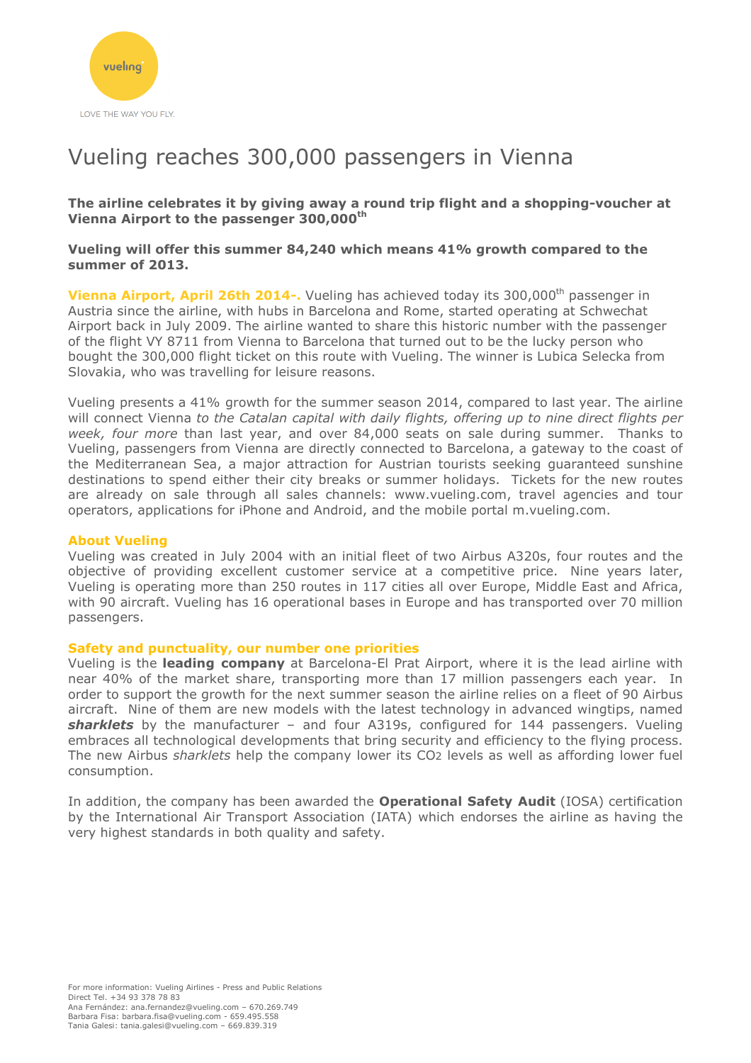

# Vueling reaches 300,000 passengers in Vienna

**The airline celebrates it by giving away a round trip flight and a shopping-voucher at Vienna Airport to the passenger 300,000th** 

### **Vueling will offer this summer 84,240 which means 41% growth compared to the summer of 2013.**

**Vienna Airport, April 26th 2014-.** Vueling has achieved today its 300,000<sup>th</sup> passenger in Austria since the airline, with hubs in Barcelona and Rome, started operating at Schwechat Airport back in July 2009. The airline wanted to share this historic number with the passenger of the flight VY 8711 from Vienna to Barcelona that turned out to be the lucky person who bought the 300,000 flight ticket on this route with Vueling. The winner is Lubica Selecka from Slovakia, who was travelling for leisure reasons.

Vueling presents a 41% growth for the summer season 2014, compared to last year. The airline will connect Vienna *to the Catalan capital with daily flights, offering up to nine direct flights per week, four more* than last year, and over 84,000 seats on sale during summer. Thanks to Vueling, passengers from Vienna are directly connected to Barcelona, a gateway to the coast of the Mediterranean Sea, a major attraction for Austrian tourists seeking guaranteed sunshine destinations to spend either their city breaks or summer holidays. Tickets for the new routes are already on sale through all sales channels: www.vueling.com, travel agencies and tour operators, applications for iPhone and Android, and the mobile portal m.vueling.com.

### **About Vueling**

Vueling was created in July 2004 with an initial fleet of two Airbus A320s, four routes and the objective of providing excellent customer service at a competitive price. Nine years later, Vueling is operating more than 250 routes in 117 cities all over Europe, Middle East and Africa, with 90 aircraft. Vueling has 16 operational bases in Europe and has transported over 70 million passengers.

### **Safety and punctuality, our number one priorities**

Vueling is the **leading company** at Barcelona-El Prat Airport, where it is the lead airline with near 40% of the market share, transporting more than 17 million passengers each year. In order to support the growth for the next summer season the airline relies on a fleet of 90 Airbus aircraft. Nine of them are new models with the latest technology in advanced wingtips, named *sharklets* by the manufacturer – and four A319s, configured for 144 passengers. Vueling embraces all technological developments that bring security and efficiency to the flying process. The new Airbus *sharklets* help the company lower its CO2 levels as well as affording lower fuel consumption.

In addition, the company has been awarded the **Operational Safety Audit** (IOSA) certification by the International Air Transport Association (IATA) which endorses the airline as having the very highest standards in both quality and safety.